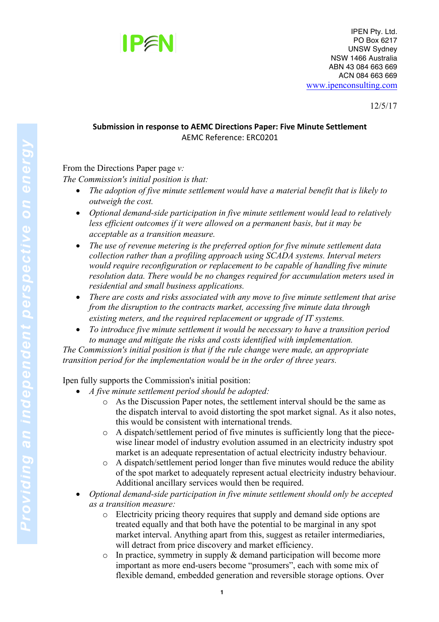

12/5/17

## **Submission in response to AEMC Directions Paper: Five Minute Settlement** AEMC Reference: ERC0201

From the Directions Paper page *v:*

*The Commission's initial position is that:* 

- *The adoption of five minute settlement would have a material benefit that is likely to outweigh the cost.*
- *Optional demand-side participation in five minute settlement would lead to relatively less efficient outcomes if it were allowed on a permanent basis, but it may be acceptable as a transition measure.*
- *The use of revenue metering is the preferred option for five minute settlement data collection rather than a profiling approach using SCADA systems. Interval meters would require reconfiguration or replacement to be capable of handling five minute resolution data. There would be no changes required for accumulation meters used in residential and small business applications.*
- *There are costs and risks associated with any move to five minute settlement that arise from the disruption to the contracts market, accessing five minute data through existing meters, and the required replacement or upgrade of IT systems.*
- *To introduce five minute settlement it would be necessary to have a transition period to manage and mitigate the risks and costs identified with implementation.*

*The Commission's initial position is that if the rule change were made, an appropriate transition period for the implementation would be in the order of three years.*

Ipen fully supports the Commission's initial position:

- *A five minute settlement period should be adopted:*
	- o As the Discussion Paper notes, the settlement interval should be the same as the dispatch interval to avoid distorting the spot market signal. As it also notes, this would be consistent with international trends.
	- o A dispatch/settlement period of five minutes is sufficiently long that the piecewise linear model of industry evolution assumed in an electricity industry spot market is an adequate representation of actual electricity industry behaviour.
	- o A dispatch/settlement period longer than five minutes would reduce the ability of the spot market to adequately represent actual electricity industry behaviour. Additional ancillary services would then be required.
- *Optional demand-side participation in five minute settlement should only be accepted as a transition measure:*
	- o Electricity pricing theory requires that supply and demand side options are treated equally and that both have the potential to be marginal in any spot market interval. Anything apart from this, suggest as retailer intermediaries, will detract from price discovery and market efficiency.
	- $\circ$  In practice, symmetry in supply & demand participation will become more important as more end-users become "prosumers", each with some mix of flexible demand, embedded generation and reversible storage options. Over